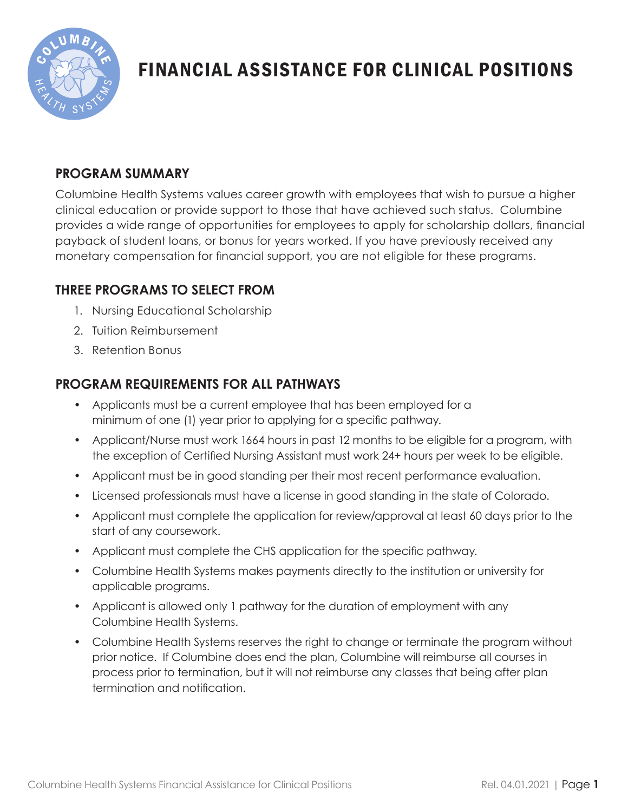

# FINANCIAL ASSISTANCE FOR CLINICAL POSITIONS

# **PROGRAM SUMMARY**

Columbine Health Systems values career growth with employees that wish to pursue a higher clinical education or provide support to those that have achieved such status. Columbine provides a wide range of opportunities for employees to apply for scholarship dollars, financial payback of student loans, or bonus for years worked. If you have previously received any monetary compensation for financial support, you are not eligible for these programs.

## **THREE PROGRAMS TO SELECT FROM**

- 1. Nursing Educational Scholarship
- 2. Tuition Reimbursement
- 3. Retention Bonus

# **PROGRAM REQUIREMENTS FOR ALL PATHWAYS**

- Applicants must be a current employee that has been employed for a minimum of one (1) year prior to applying for a specific pathway.
- Applicant/Nurse must work 1664 hours in past 12 months to be eligible for a program, with the exception of Certified Nursing Assistant must work 24+ hours per week to be eligible.
- Applicant must be in good standing per their most recent performance evaluation.
- Licensed professionals must have a license in good standing in the state of Colorado.
- Applicant must complete the application for review/approval at least 60 days prior to the start of any coursework.
- Applicant must complete the CHS application for the specific pathway.
- Columbine Health Systems makes payments directly to the institution or university for applicable programs.
- Applicant is allowed only 1 pathway for the duration of employment with any Columbine Health Systems.
- Columbine Health Systems reserves the right to change or terminate the program without prior notice. If Columbine does end the plan, Columbine will reimburse all courses in process prior to termination, but it will not reimburse any classes that being after plan termination and notification.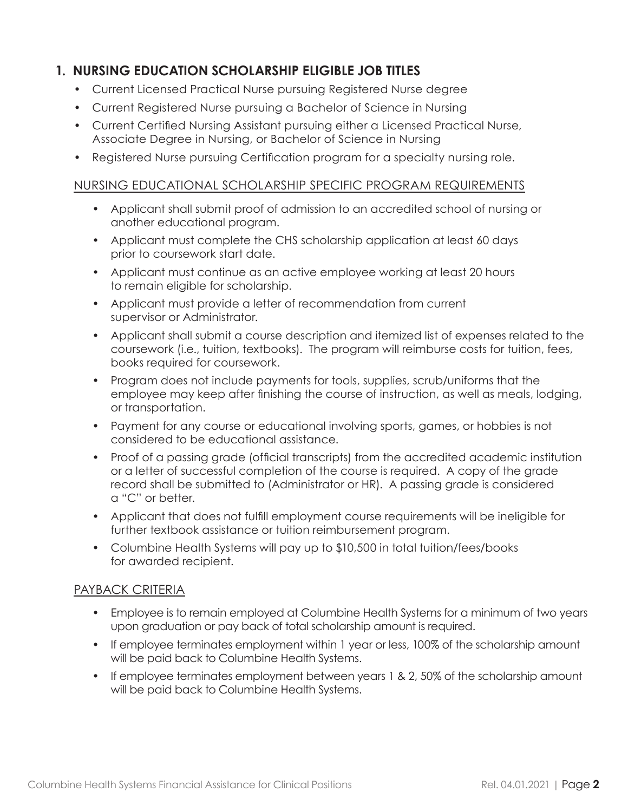## **1. NURSING EDUCATION SCHOLARSHIP ELIGIBLE JOB TITLES**

- Current Licensed Practical Nurse pursuing Registered Nurse degree
- Current Registered Nurse pursuing a Bachelor of Science in Nursing
- Current Certified Nursing Assistant pursuing either a Licensed Practical Nurse, Associate Degree in Nursing, or Bachelor of Science in Nursing
- Registered Nurse pursuing Certification program for a specialty nursing role.

#### NURSING EDUCATIONAL SCHOLARSHIP SPECIFIC PROGRAM REQUIREMENTS

- Applicant shall submit proof of admission to an accredited school of nursing or another educational program.
- Applicant must complete the CHS scholarship application at least 60 days prior to coursework start date.
- Applicant must continue as an active employee working at least 20 hours to remain eligible for scholarship.
- Applicant must provide a letter of recommendation from current supervisor or Administrator.
- Applicant shall submit a course description and itemized list of expenses related to the coursework (i.e., tuition, textbooks). The program will reimburse costs for tuition, fees, books required for coursework.
- Program does not include payments for tools, supplies, scrub/uniforms that the employee may keep after finishing the course of instruction, as well as meals, lodging, or transportation.
- Payment for any course or educational involving sports, games, or hobbies is not considered to be educational assistance.
- Proof of a passing grade (official transcripts) from the accredited academic institution or a letter of successful completion of the course is required. A copy of the grade record shall be submitted to (Administrator or HR). A passing grade is considered a "C" or better.
- Applicant that does not fulfill employment course requirements will be ineligible for further textbook assistance or tuition reimbursement program.
- Columbine Health Systems will pay up to \$10,500 in total tuition/fees/books for awarded recipient.

#### PAYBACK CRITERIA

- Employee is to remain employed at Columbine Health Systems for a minimum of two years upon graduation or pay back of total scholarship amount is required.
- If employee terminates employment within 1 year or less, 100% of the scholarship amount will be paid back to Columbine Health Systems.
- If employee terminates employment between years 1 & 2, 50% of the scholarship amount will be paid back to Columbine Health Systems.